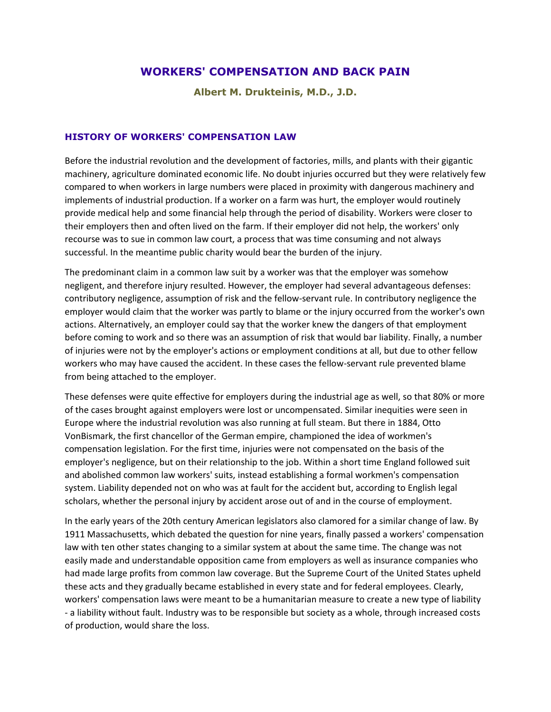# **WORKERS' COMPENSATION AND BACK PAIN**

**Albert M. Drukteinis, M.D., J.D.**

### **HISTORY OF WORKERS' COMPENSATION LAW**

Before the industrial revolution and the development of factories, mills, and plants with their gigantic machinery, agriculture dominated economic life. No doubt injuries occurred but they were relatively few compared to when workers in large numbers were placed in proximity with dangerous machinery and implements of industrial production. If a worker on a farm was hurt, the employer would routinely provide medical help and some financial help through the period of disability. Workers were closer to their employers then and often lived on the farm. If their employer did not help, the workers' only recourse was to sue in common law court, a process that was time consuming and not always successful. In the meantime public charity would bear the burden of the injury.

The predominant claim in a common law suit by a worker was that the employer was somehow negligent, and therefore injury resulted. However, the employer had several advantageous defenses: contributory negligence, assumption of risk and the fellow-servant rule. In contributory negligence the employer would claim that the worker was partly to blame or the injury occurred from the worker's own actions. Alternatively, an employer could say that the worker knew the dangers of that employment before coming to work and so there was an assumption of risk that would bar liability. Finally, a number of injuries were not by the employer's actions or employment conditions at all, but due to other fellow workers who may have caused the accident. In these cases the fellow-servant rule prevented blame from being attached to the employer.

These defenses were quite effective for employers during the industrial age as well, so that 80% or more of the cases brought against employers were lost or uncompensated. Similar inequities were seen in Europe where the industrial revolution was also running at full steam. But there in 1884, Otto VonBismark, the first chancellor of the German empire, championed the idea of workmen's compensation legislation. For the first time, injuries were not compensated on the basis of the employer's negligence, but on their relationship to the job. Within a short time England followed suit and abolished common law workers' suits, instead establishing a formal workmen's compensation system. Liability depended not on who was at fault for the accident but, according to English legal scholars, whether the personal injury by accident arose out of and in the course of employment.

In the early years of the 20th century American legislators also clamored for a similar change of law. By 1911 Massachusetts, which debated the question for nine years, finally passed a workers' compensation law with ten other states changing to a similar system at about the same time. The change was not easily made and understandable opposition came from employers as well as insurance companies who had made large profits from common law coverage. But the Supreme Court of the United States upheld these acts and they gradually became established in every state and for federal employees. Clearly, workers' compensation laws were meant to be a humanitarian measure to create a new type of liability - a liability without fault. Industry was to be responsible but society as a whole, through increased costs of production, would share the loss.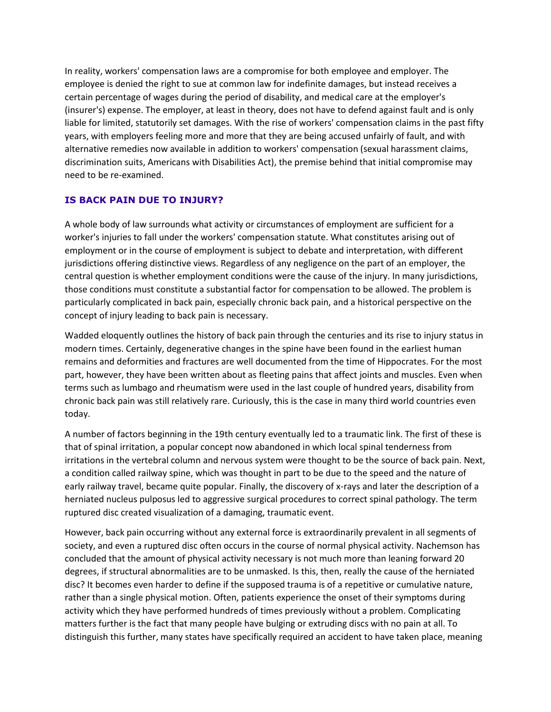In reality, workers' compensation laws are a compromise for both employee and employer. The employee is denied the right to sue at common law for indefinite damages, but instead receives a certain percentage of wages during the period of disability, and medical care at the employer's (insurer's) expense. The employer, at least in theory, does not have to defend against fault and is only liable for limited, statutorily set damages. With the rise of workers' compensation claims in the past fifty years, with employers feeling more and more that they are being accused unfairly of fault, and with alternative remedies now available in addition to workers' compensation (sexual harassment claims, discrimination suits, Americans with Disabilities Act), the premise behind that initial compromise may need to be re-examined.

# **IS BACK PAIN DUE TO INJURY?**

A whole body of law surrounds what activity or circumstances of employment are sufficient for a worker's injuries to fall under the workers' compensation statute. What constitutes arising out of employment or in the course of employment is subject to debate and interpretation, with different jurisdictions offering distinctive views. Regardless of any negligence on the part of an employer, the central question is whether employment conditions were the cause of the injury. In many jurisdictions, those conditions must constitute a substantial factor for compensation to be allowed. The problem is particularly complicated in back pain, especially chronic back pain, and a historical perspective on the concept of injury leading to back pain is necessary.

Wadded eloquently outlines the history of back pain through the centuries and its rise to injury status in modern times. Certainly, degenerative changes in the spine have been found in the earliest human remains and deformities and fractures are well documented from the time of Hippocrates. For the most part, however, they have been written about as fleeting pains that affect joints and muscles. Even when terms such as lumbago and rheumatism were used in the last couple of hundred years, disability from chronic back pain was still relatively rare. Curiously, this is the case in many third world countries even today.

A number of factors beginning in the 19th century eventually led to a traumatic link. The first of these is that of spinal irritation, a popular concept now abandoned in which local spinal tenderness from irritations in the vertebral column and nervous system were thought to be the source of back pain. Next, a condition called railway spine, which was thought in part to be due to the speed and the nature of early railway travel, became quite popular. Finally, the discovery of x-rays and later the description of a herniated nucleus pulposus led to aggressive surgical procedures to correct spinal pathology. The term ruptured disc created visualization of a damaging, traumatic event.

However, back pain occurring without any external force is extraordinarily prevalent in all segments of society, and even a ruptured disc often occurs in the course of normal physical activity. Nachemson has concluded that the amount of physical activity necessary is not much more than leaning forward 20 degrees, if structural abnormalities are to be unmasked. Is this, then, really the cause of the herniated disc? It becomes even harder to define if the supposed trauma is of a repetitive or cumulative nature, rather than a single physical motion. Often, patients experience the onset of their symptoms during activity which they have performed hundreds of times previously without a problem. Complicating matters further is the fact that many people have bulging or extruding discs with no pain at all. To distinguish this further, many states have specifically required an accident to have taken place, meaning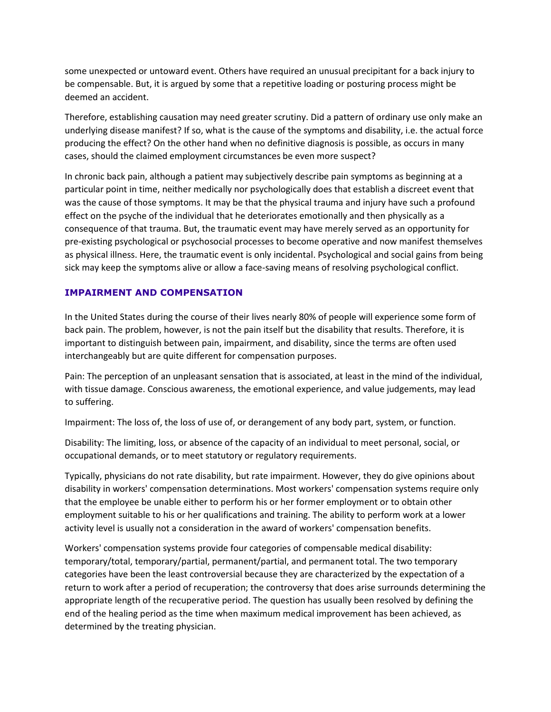some unexpected or untoward event. Others have required an unusual precipitant for a back injury to be compensable. But, it is argued by some that a repetitive loading or posturing process might be deemed an accident.

Therefore, establishing causation may need greater scrutiny. Did a pattern of ordinary use only make an underlying disease manifest? If so, what is the cause of the symptoms and disability, i.e. the actual force producing the effect? On the other hand when no definitive diagnosis is possible, as occurs in many cases, should the claimed employment circumstances be even more suspect?

In chronic back pain, although a patient may subjectively describe pain symptoms as beginning at a particular point in time, neither medically nor psychologically does that establish a discreet event that was the cause of those symptoms. It may be that the physical trauma and injury have such a profound effect on the psyche of the individual that he deteriorates emotionally and then physically as a consequence of that trauma. But, the traumatic event may have merely served as an opportunity for pre-existing psychological or psychosocial processes to become operative and now manifest themselves as physical illness. Here, the traumatic event is only incidental. Psychological and social gains from being sick may keep the symptoms alive or allow a face-saving means of resolving psychological conflict.

## **IMPAIRMENT AND COMPENSATION**

In the United States during the course of their lives nearly 80% of people will experience some form of back pain. The problem, however, is not the pain itself but the disability that results. Therefore, it is important to distinguish between pain, impairment, and disability, since the terms are often used interchangeably but are quite different for compensation purposes.

Pain: The perception of an unpleasant sensation that is associated, at least in the mind of the individual, with tissue damage. Conscious awareness, the emotional experience, and value judgements, may lead to suffering.

Impairment: The loss of, the loss of use of, or derangement of any body part, system, or function.

Disability: The limiting, loss, or absence of the capacity of an individual to meet personal, social, or occupational demands, or to meet statutory or regulatory requirements.

Typically, physicians do not rate disability, but rate impairment. However, they do give opinions about disability in workers' compensation determinations. Most workers' compensation systems require only that the employee be unable either to perform his or her former employment or to obtain other employment suitable to his or her qualifications and training. The ability to perform work at a lower activity level is usually not a consideration in the award of workers' compensation benefits.

Workers' compensation systems provide four categories of compensable medical disability: temporary/total, temporary/partial, permanent/partial, and permanent total. The two temporary categories have been the least controversial because they are characterized by the expectation of a return to work after a period of recuperation; the controversy that does arise surrounds determining the appropriate length of the recuperative period. The question has usually been resolved by defining the end of the healing period as the time when maximum medical improvement has been achieved, as determined by the treating physician.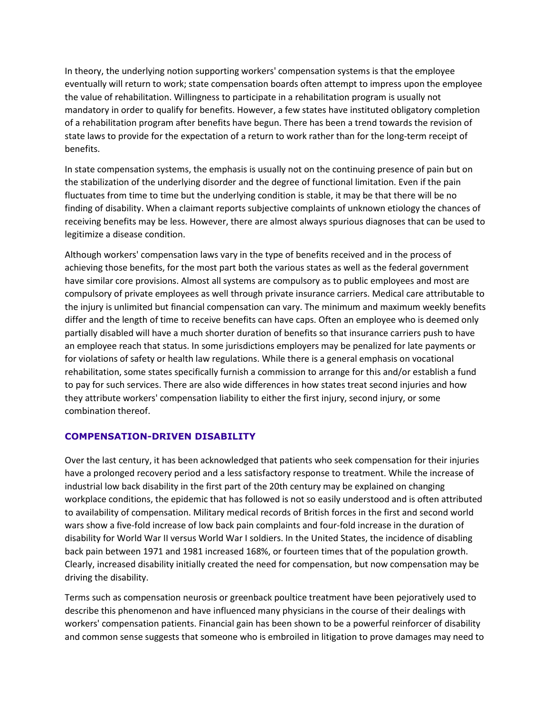In theory, the underlying notion supporting workers' compensation systems is that the employee eventually will return to work; state compensation boards often attempt to impress upon the employee the value of rehabilitation. Willingness to participate in a rehabilitation program is usually not mandatory in order to qualify for benefits. However, a few states have instituted obligatory completion of a rehabilitation program after benefits have begun. There has been a trend towards the revision of state laws to provide for the expectation of a return to work rather than for the long-term receipt of benefits.

In state compensation systems, the emphasis is usually not on the continuing presence of pain but on the stabilization of the underlying disorder and the degree of functional limitation. Even if the pain fluctuates from time to time but the underlying condition is stable, it may be that there will be no finding of disability. When a claimant reports subjective complaints of unknown etiology the chances of receiving benefits may be less. However, there are almost always spurious diagnoses that can be used to legitimize a disease condition.

Although workers' compensation laws vary in the type of benefits received and in the process of achieving those benefits, for the most part both the various states as well as the federal government have similar core provisions. Almost all systems are compulsory as to public employees and most are compulsory of private employees as well through private insurance carriers. Medical care attributable to the injury is unlimited but financial compensation can vary. The minimum and maximum weekly benefits differ and the length of time to receive benefits can have caps. Often an employee who is deemed only partially disabled will have a much shorter duration of benefits so that insurance carriers push to have an employee reach that status. In some jurisdictions employers may be penalized for late payments or for violations of safety or health law regulations. While there is a general emphasis on vocational rehabilitation, some states specifically furnish a commission to arrange for this and/or establish a fund to pay for such services. There are also wide differences in how states treat second injuries and how they attribute workers' compensation liability to either the first injury, second injury, or some combination thereof.

#### **COMPENSATION-DRIVEN DISABILITY**

Over the last century, it has been acknowledged that patients who seek compensation for their injuries have a prolonged recovery period and a less satisfactory response to treatment. While the increase of industrial low back disability in the first part of the 20th century may be explained on changing workplace conditions, the epidemic that has followed is not so easily understood and is often attributed to availability of compensation. Military medical records of British forces in the first and second world wars show a five-fold increase of low back pain complaints and four-fold increase in the duration of disability for World War II versus World War I soldiers. In the United States, the incidence of disabling back pain between 1971 and 1981 increased 168%, or fourteen times that of the population growth. Clearly, increased disability initially created the need for compensation, but now compensation may be driving the disability.

Terms such as compensation neurosis or greenback poultice treatment have been pejoratively used to describe this phenomenon and have influenced many physicians in the course of their dealings with workers' compensation patients. Financial gain has been shown to be a powerful reinforcer of disability and common sense suggests that someone who is embroiled in litigation to prove damages may need to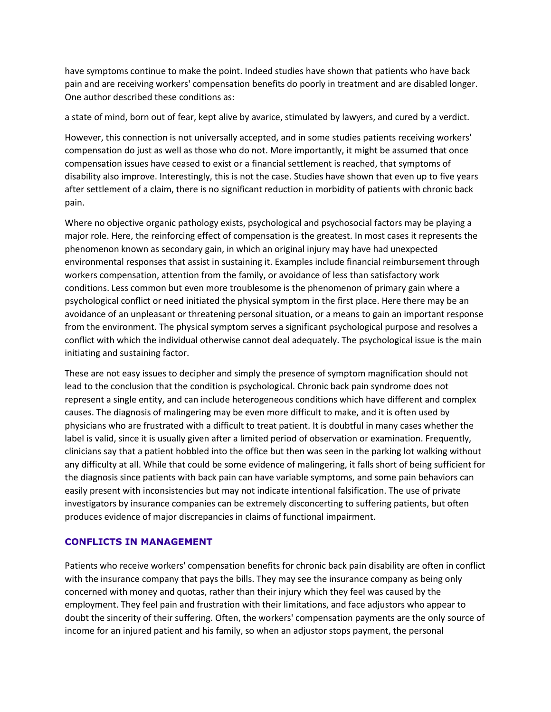have symptoms continue to make the point. Indeed studies have shown that patients who have back pain and are receiving workers' compensation benefits do poorly in treatment and are disabled longer. One author described these conditions as:

a state of mind, born out of fear, kept alive by avarice, stimulated by lawyers, and cured by a verdict.

However, this connection is not universally accepted, and in some studies patients receiving workers' compensation do just as well as those who do not. More importantly, it might be assumed that once compensation issues have ceased to exist or a financial settlement is reached, that symptoms of disability also improve. Interestingly, this is not the case. Studies have shown that even up to five years after settlement of a claim, there is no significant reduction in morbidity of patients with chronic back pain.

Where no objective organic pathology exists, psychological and psychosocial factors may be playing a major role. Here, the reinforcing effect of compensation is the greatest. In most cases it represents the phenomenon known as secondary gain, in which an original injury may have had unexpected environmental responses that assist in sustaining it. Examples include financial reimbursement through workers compensation, attention from the family, or avoidance of less than satisfactory work conditions. Less common but even more troublesome is the phenomenon of primary gain where a psychological conflict or need initiated the physical symptom in the first place. Here there may be an avoidance of an unpleasant or threatening personal situation, or a means to gain an important response from the environment. The physical symptom serves a significant psychological purpose and resolves a conflict with which the individual otherwise cannot deal adequately. The psychological issue is the main initiating and sustaining factor.

These are not easy issues to decipher and simply the presence of symptom magnification should not lead to the conclusion that the condition is psychological. Chronic back pain syndrome does not represent a single entity, and can include heterogeneous conditions which have different and complex causes. The diagnosis of malingering may be even more difficult to make, and it is often used by physicians who are frustrated with a difficult to treat patient. It is doubtful in many cases whether the label is valid, since it is usually given after a limited period of observation or examination. Frequently, clinicians say that a patient hobbled into the office but then was seen in the parking lot walking without any difficulty at all. While that could be some evidence of malingering, it falls short of being sufficient for the diagnosis since patients with back pain can have variable symptoms, and some pain behaviors can easily present with inconsistencies but may not indicate intentional falsification. The use of private investigators by insurance companies can be extremely disconcerting to suffering patients, but often produces evidence of major discrepancies in claims of functional impairment.

#### **CONFLICTS IN MANAGEMENT**

Patients who receive workers' compensation benefits for chronic back pain disability are often in conflict with the insurance company that pays the bills. They may see the insurance company as being only concerned with money and quotas, rather than their injury which they feel was caused by the employment. They feel pain and frustration with their limitations, and face adjustors who appear to doubt the sincerity of their suffering. Often, the workers' compensation payments are the only source of income for an injured patient and his family, so when an adjustor stops payment, the personal